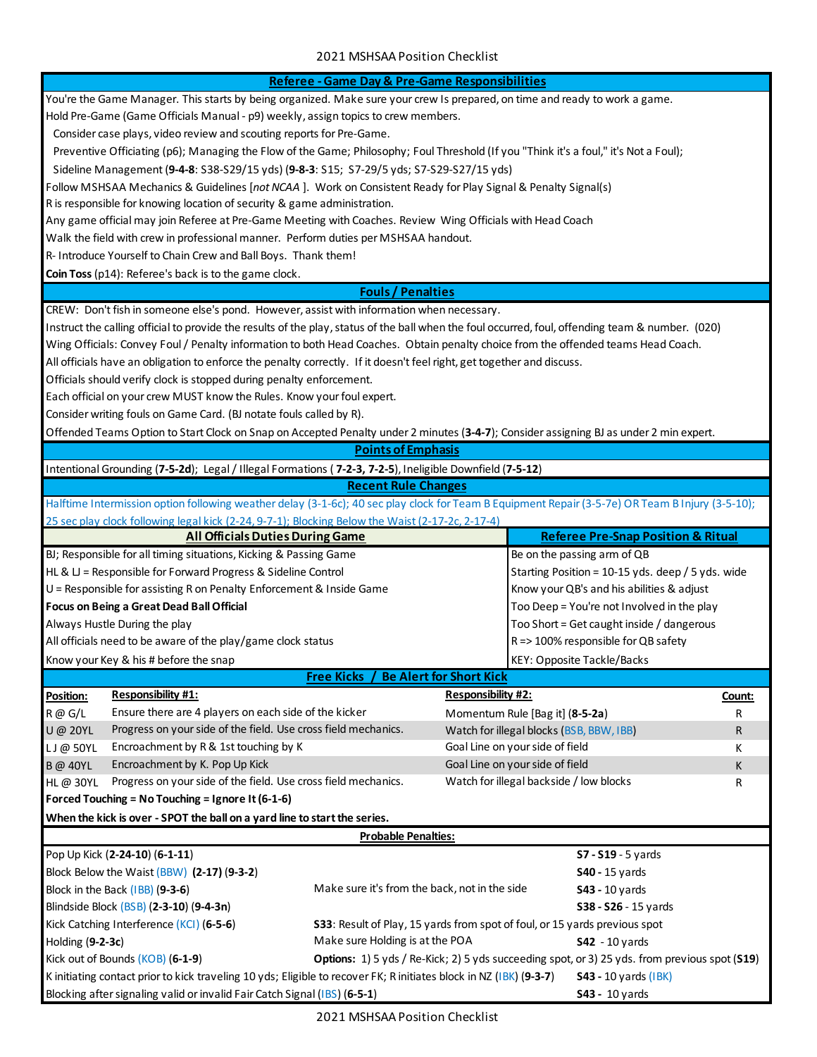|                                                                                                                                   |                                                                                                                                                   | Referee - Game Day & Pre-Game Responsibilities |                                           |                                                   |        |
|-----------------------------------------------------------------------------------------------------------------------------------|---------------------------------------------------------------------------------------------------------------------------------------------------|------------------------------------------------|-------------------------------------------|---------------------------------------------------|--------|
| You're the Game Manager. This starts by being organized. Make sure your crew Is prepared, on time and ready to work a game.       |                                                                                                                                                   |                                                |                                           |                                                   |        |
|                                                                                                                                   | Hold Pre-Game (Game Officials Manual - p9) weekly, assign topics to crew members.                                                                 |                                                |                                           |                                                   |        |
|                                                                                                                                   | Consider case plays, video review and scouting reports for Pre-Game.                                                                              |                                                |                                           |                                                   |        |
|                                                                                                                                   | Preventive Officiating (p6); Managing the Flow of the Game; Philosophy; Foul Threshold (If you "Think it's a foul," it's Not a Foul);             |                                                |                                           |                                                   |        |
|                                                                                                                                   | Sideline Management (9-4-8: S38-S29/15 yds) (9-8-3: S15; S7-29/5 yds; S7-S29-S27/15 yds)                                                          |                                                |                                           |                                                   |        |
|                                                                                                                                   | Follow MSHSAA Mechanics & Guidelines [not NCAA]. Work on Consistent Ready for Play Signal & Penalty Signal(s)                                     |                                                |                                           |                                                   |        |
|                                                                                                                                   | R is responsible for knowing location of security & game administration.                                                                          |                                                |                                           |                                                   |        |
|                                                                                                                                   | Any game official may join Referee at Pre-Game Meeting with Coaches. Review Wing Officials with Head Coach                                        |                                                |                                           |                                                   |        |
|                                                                                                                                   | Walk the field with crew in professional manner. Perform duties per MSHSAA handout.                                                               |                                                |                                           |                                                   |        |
|                                                                                                                                   | R- Introduce Yourself to Chain Crew and Ball Boys. Thank them!                                                                                    |                                                |                                           |                                                   |        |
|                                                                                                                                   | Coin Toss (p14): Referee's back is to the game clock.                                                                                             |                                                |                                           |                                                   |        |
|                                                                                                                                   |                                                                                                                                                   | <b>Fouls / Penalties</b>                       |                                           |                                                   |        |
|                                                                                                                                   | CREW: Don't fish in someone else's pond. However, assist with information when necessary.                                                         |                                                |                                           |                                                   |        |
|                                                                                                                                   | Instruct the calling official to provide the results of the play, status of the ball when the foul occurred, foul, offending team & number. (020) |                                                |                                           |                                                   |        |
|                                                                                                                                   | Wing Officials: Convey Foul / Penalty information to both Head Coaches. Obtain penalty choice from the offended teams Head Coach.                 |                                                |                                           |                                                   |        |
|                                                                                                                                   | All officials have an obligation to enforce the penalty correctly. If it doesn't feel right, get together and discuss.                            |                                                |                                           |                                                   |        |
|                                                                                                                                   | Officials should verify clock is stopped during penalty enforcement.                                                                              |                                                |                                           |                                                   |        |
|                                                                                                                                   | Each official on your crew MUST know the Rules. Know your foul expert.                                                                            |                                                |                                           |                                                   |        |
|                                                                                                                                   | Consider writing fouls on Game Card. (BJ notate fouls called by R).                                                                               |                                                |                                           |                                                   |        |
|                                                                                                                                   | Offended Teams Option to Start Clock on Snap on Accepted Penalty under 2 minutes (3-4-7); Consider assigning BJ as under 2 min expert.            |                                                |                                           |                                                   |        |
|                                                                                                                                   |                                                                                                                                                   | <b>Points of Emphasis</b>                      |                                           |                                                   |        |
|                                                                                                                                   | Intentional Grounding (7-5-2d); Legal / Illegal Formations (7-2-3, 7-2-5), Ineligible Downfield (7-5-12)                                          |                                                |                                           |                                                   |        |
|                                                                                                                                   |                                                                                                                                                   | <b>Recent Rule Changes</b>                     |                                           |                                                   |        |
|                                                                                                                                   | Halftime Intermission option following weather delay (3-1-6c); 40 sec play clock for Team B Equipment Repair (3-5-7e) OR Team B Injury (3-5-10);  |                                                |                                           |                                                   |        |
|                                                                                                                                   | 25 sec play clock following legal kick (2-24, 9-7-1); Blocking Below the Waist (2-17-2c, 2-17-4)                                                  |                                                |                                           |                                                   |        |
|                                                                                                                                   | <b>All Officials Duties During Game</b>                                                                                                           |                                                |                                           | <b>Referee Pre-Snap Position &amp; Ritual</b>     |        |
|                                                                                                                                   | BJ; Responsible for all timing situations, Kicking & Passing Game                                                                                 |                                                |                                           | Be on the passing arm of QB                       |        |
|                                                                                                                                   | HL & $U$ = Responsible for Forward Progress & Sideline Control                                                                                    |                                                |                                           | Starting Position = 10-15 yds. deep / 5 yds. wide |        |
|                                                                                                                                   | U = Responsible for assisting R on Penalty Enforcement & Inside Game                                                                              |                                                | Know your QB's and his abilities & adjust |                                                   |        |
|                                                                                                                                   | <b>Focus on Being a Great Dead Ball Official</b>                                                                                                  |                                                |                                           | Too Deep = You're not Involved in the play        |        |
|                                                                                                                                   | Always Hustle During the play                                                                                                                     |                                                |                                           | Too Short = Get caught inside / dangerous         |        |
|                                                                                                                                   | All officials need to be aware of the play/game clock status                                                                                      |                                                |                                           | R => 100% responsible for QB safety               |        |
|                                                                                                                                   |                                                                                                                                                   |                                                |                                           |                                                   |        |
|                                                                                                                                   | Know your Key & his # before the snap                                                                                                             | <b>Free Kicks</b>                              | Be Alert for Short Kick                   | KEY: Opposite Tackle/Backs                        |        |
|                                                                                                                                   | <b>Responsibility #1:</b>                                                                                                                         |                                                | <b>Responsibility #2:</b>                 |                                                   |        |
| Position:                                                                                                                         | Ensure there are 4 players on each side of the kicker                                                                                             |                                                |                                           |                                                   | Count: |
| R @ G/L                                                                                                                           | Progress on your side of the field. Use cross field mechanics.                                                                                    |                                                |                                           | Momentum Rule [Bag it] (8-5-2a)                   | R      |
| U@ 20YL                                                                                                                           | Encroachment by R & 1st touching by K                                                                                                             |                                                | Goal Line on your side of field           | Watch for illegal blocks (BSB, BBW, IBB)          | R      |
| $LJ@$ 50YL                                                                                                                        | Encroachment by K. Pop Up Kick                                                                                                                    |                                                | Goal Line on your side of field           |                                                   | K      |
| <b>B</b> @ 40YL                                                                                                                   | Progress on your side of the field. Use cross field mechanics.                                                                                    |                                                |                                           | Watch for illegal backside / low blocks           | K      |
| HL@ 30YL                                                                                                                          |                                                                                                                                                   |                                                |                                           |                                                   | R      |
|                                                                                                                                   | Forced Touching = No Touching = Ignore It (6-1-6)                                                                                                 |                                                |                                           |                                                   |        |
| When the kick is over - SPOT the ball on a yard line to start the series.<br><b>Probable Penalties:</b>                           |                                                                                                                                                   |                                                |                                           |                                                   |        |
|                                                                                                                                   |                                                                                                                                                   |                                                |                                           |                                                   |        |
|                                                                                                                                   | Pop Up Kick (2-24-10) (6-1-11)                                                                                                                    |                                                |                                           | S7 - S19 - 5 yards                                |        |
|                                                                                                                                   | Block Below the Waist (BBW) (2-17) (9-3-2)                                                                                                        |                                                |                                           | <b>S40 - 15 yards</b>                             |        |
| Make sure it's from the back, not in the side<br>Block in the Back (IBB) (9-3-6)<br>$S43 - 10$ yards                              |                                                                                                                                                   |                                                |                                           |                                                   |        |
| Blindside Block (BSB) (2-3-10) (9-4-3n)<br>\$38 - \$26 - 15 yards                                                                 |                                                                                                                                                   |                                                |                                           |                                                   |        |
|                                                                                                                                   | Kick Catching Interference (KCI) (6-5-6)<br>S33: Result of Play, 15 yards from spot of foul, or 15 yards previous spot                            |                                                |                                           |                                                   |        |
| Make sure Holding is at the POA<br>Holding (9-2-3c)<br>$S42 - 10$ yards                                                           |                                                                                                                                                   |                                                |                                           |                                                   |        |
| Kick out of Bounds (KOB) (6-1-9)<br>Options: 1) 5 yds / Re-Kick; 2) 5 yds succeeding spot, or 3) 25 yds. from previous spot (S19) |                                                                                                                                                   |                                                |                                           |                                                   |        |
|                                                                                                                                   | K initiating contact prior to kick traveling 10 yds; Eligible to recover FK; R initiates block in NZ (IBK) (9-3-7)<br><b>S43 - 10 yards (IBK)</b> |                                                |                                           |                                                   |        |
|                                                                                                                                   | Blocking after signaling valid or invalid Fair Catch Signal (IBS) (6-5-1)                                                                         |                                                |                                           | \$43 - 10 yards                                   |        |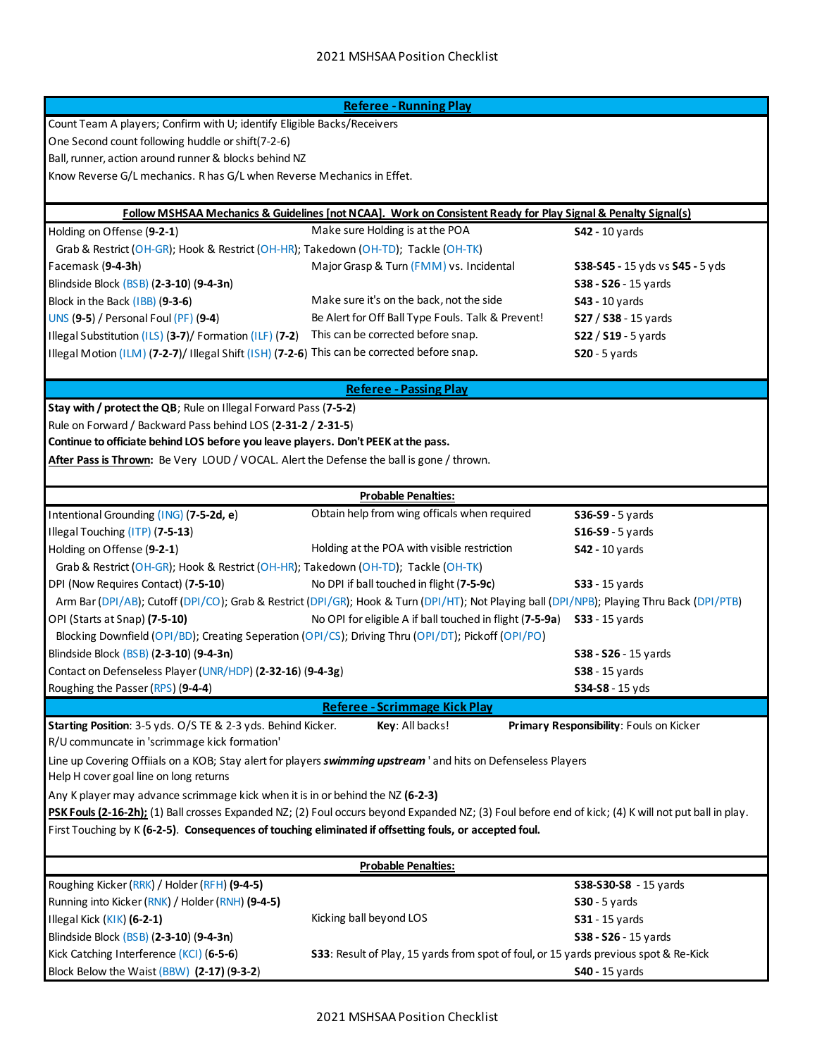| <b>Referee - Running Play</b>                                                                                                                            |                                                                                                                                            |                                         |  |  |
|----------------------------------------------------------------------------------------------------------------------------------------------------------|--------------------------------------------------------------------------------------------------------------------------------------------|-----------------------------------------|--|--|
| Count Team A players; Confirm with U; identify Eligible Backs/Receivers                                                                                  |                                                                                                                                            |                                         |  |  |
| One Second count following huddle or shift(7-2-6)                                                                                                        |                                                                                                                                            |                                         |  |  |
| Ball, runner, action around runner & blocks behind NZ                                                                                                    |                                                                                                                                            |                                         |  |  |
| Know Reverse G/L mechanics. R has G/L when Reverse Mechanics in Effet.                                                                                   |                                                                                                                                            |                                         |  |  |
|                                                                                                                                                          |                                                                                                                                            |                                         |  |  |
|                                                                                                                                                          | <b>Follow MSHSAA Mechanics &amp; Guidelines [not NCAA]. Work on Consistent Ready for Play Signal &amp; Penalty Signal(s)</b>               |                                         |  |  |
| Holding on Offense (9-2-1)                                                                                                                               | Make sure Holding is at the POA                                                                                                            | <b>S42 - 10 yards</b>                   |  |  |
| Grab & Restrict (OH-GR); Hook & Restrict (OH-HR); Takedown (OH-TD); Tackle (OH-TK)                                                                       |                                                                                                                                            |                                         |  |  |
| Facemask (9-4-3h)                                                                                                                                        | Major Grasp & Turn (FMM) vs. Incidental                                                                                                    | S38-S45 - 15 yds vs S45 - 5 yds         |  |  |
| Blindside Block (BSB) (2-3-10) (9-4-3n)                                                                                                                  |                                                                                                                                            | S38 - S26 - 15 yards                    |  |  |
| Block in the Back (IBB) (9-3-6)                                                                                                                          | Make sure it's on the back, not the side                                                                                                   | <b>S43 - 10 yards</b>                   |  |  |
| <b>UNS (9-5) / Personal Foul (PF) (9-4)</b>                                                                                                              | Be Alert for Off Ball Type Fouls. Talk & Prevent!                                                                                          | S27 / S38 - 15 yards                    |  |  |
| Illegal Substitution (ILS) (3-7)/ Formation (ILF) (7-2)                                                                                                  | This can be corrected before snap.                                                                                                         | $S22 / S19 - 5$ yards                   |  |  |
| Illegal Motion (ILM) (7-2-7)/ Illegal Shift (ISH) (7-2-6) This can be corrected before snap.                                                             |                                                                                                                                            | $S20 - 5$ yards                         |  |  |
|                                                                                                                                                          |                                                                                                                                            |                                         |  |  |
|                                                                                                                                                          | <b>Referee - Passing Play</b>                                                                                                              |                                         |  |  |
| Stay with / protect the QB; Rule on Illegal Forward Pass (7-5-2)                                                                                         |                                                                                                                                            |                                         |  |  |
| Rule on Forward / Backward Pass behind LOS (2-31-2 / 2-31-5)                                                                                             |                                                                                                                                            |                                         |  |  |
| Continue to officiate behind LOS before you leave players. Don't PEEK at the pass.                                                                       |                                                                                                                                            |                                         |  |  |
| After Pass is Thrown: Be Very LOUD / VOCAL. Alert the Defense the ball is gone / thrown.                                                                 |                                                                                                                                            |                                         |  |  |
|                                                                                                                                                          | <b>Probable Penalties:</b>                                                                                                                 |                                         |  |  |
| Intentional Grounding (ING) (7-5-2d, e)                                                                                                                  | Obtain help from wing officals when required                                                                                               | \$36-\$9 - 5 yards                      |  |  |
| Illegal Touching (ITP) (7-5-13)                                                                                                                          |                                                                                                                                            | <b>S16-S9 - 5 yards</b>                 |  |  |
| Holding on Offense (9-2-1)                                                                                                                               | Holding at the POA with visible restriction                                                                                                | <b>S42 - 10 yards</b>                   |  |  |
| Grab & Restrict (OH-GR); Hook & Restrict (OH-HR); Takedown (OH-TD); Tackle (OH-TK)                                                                       |                                                                                                                                            |                                         |  |  |
| DPI (Now Requires Contact) (7-5-10)                                                                                                                      | No DPI if ball touched in flight (7-5-9c)                                                                                                  |                                         |  |  |
|                                                                                                                                                          | Arm Bar (DPI/AB); Cutoff (DPI/CO); Grab & Restrict (DPI/GR); Hook & Turn (DPI/HT); Not Playing ball (DPI/NPB); Playing Thru Back (DPI/PTB) | <b>S33</b> - 15 yards                   |  |  |
| OPI (Starts at Snap) (7-5-10)                                                                                                                            | No OPI for eligible A if ball touched in flight (7-5-9a)                                                                                   | <b>S33</b> - 15 yards                   |  |  |
| Blocking Downfield (OPI/BD); Creating Seperation (OPI/CS); Driving Thru (OPI/DT); Pickoff (OPI/PO)                                                       |                                                                                                                                            |                                         |  |  |
| Blindside Block (BSB) (2-3-10) (9-4-3n)                                                                                                                  |                                                                                                                                            | S38 - S26 - 15 yards                    |  |  |
| Contact on Defenseless Player (UNR/HDP) (2-32-16) (9-4-3g)                                                                                               |                                                                                                                                            | <b>S38</b> - 15 yards                   |  |  |
|                                                                                                                                                          |                                                                                                                                            |                                         |  |  |
| Roughing the Passer (RPS) (9-4-4)                                                                                                                        |                                                                                                                                            | S34-S8 - 15 yds                         |  |  |
| Starting Position: 3-5 yds. O/S TE & 2-3 yds. Behind Kicker.                                                                                             | Referee - Scrimmage Kick Play<br>Key: All backs!                                                                                           | Primary Responsibility: Fouls on Kicker |  |  |
| R/U communcate in 'scrimmage kick formation'                                                                                                             |                                                                                                                                            |                                         |  |  |
|                                                                                                                                                          |                                                                                                                                            |                                         |  |  |
| Line up Covering Offiials on a KOB; Stay alert for players swimming upstream ' and hits on Defenseless Players<br>Help H cover goal line on long returns |                                                                                                                                            |                                         |  |  |
| Any K player may advance scrimmage kick when it is in or behind the NZ (6-2-3)                                                                           |                                                                                                                                            |                                         |  |  |
| PSK Fouls (2-16-2h); (1) Ball crosses Expanded NZ; (2) Foul occurs beyond Expanded NZ; (3) Foul before end of kick; (4) K will not put ball in play.     |                                                                                                                                            |                                         |  |  |
| First Touching by K (6-2-5). Consequences of touching eliminated if offsetting fouls, or accepted foul.                                                  |                                                                                                                                            |                                         |  |  |
|                                                                                                                                                          |                                                                                                                                            |                                         |  |  |
| <b>Probable Penalties:</b>                                                                                                                               |                                                                                                                                            |                                         |  |  |
| Roughing Kicker (RRK) / Holder (RFH) (9-4-5)                                                                                                             |                                                                                                                                            | S38-S30-S8 - 15 yards                   |  |  |
| Running into Kicker (RNK) / Holder (RNH) (9-4-5)                                                                                                         |                                                                                                                                            | $S30 - 5$ yards                         |  |  |
| Illegal Kick (KIK) (6-2-1)                                                                                                                               | Kicking ball beyond LOS                                                                                                                    | <b>S31</b> - 15 yards                   |  |  |
| Blindside Block (BSB) (2-3-10) (9-4-3n)                                                                                                                  |                                                                                                                                            | S38 - S26 - 15 yards                    |  |  |
| Kick Catching Interference (KCI) (6-5-6)                                                                                                                 | S33: Result of Play, 15 yards from spot of foul, or 15 yards previous spot & Re-Kick                                                       |                                         |  |  |
| Block Below the Waist (BBW) (2-17) (9-3-2)                                                                                                               |                                                                                                                                            | <b>S40 - 15 yards</b>                   |  |  |
|                                                                                                                                                          |                                                                                                                                            |                                         |  |  |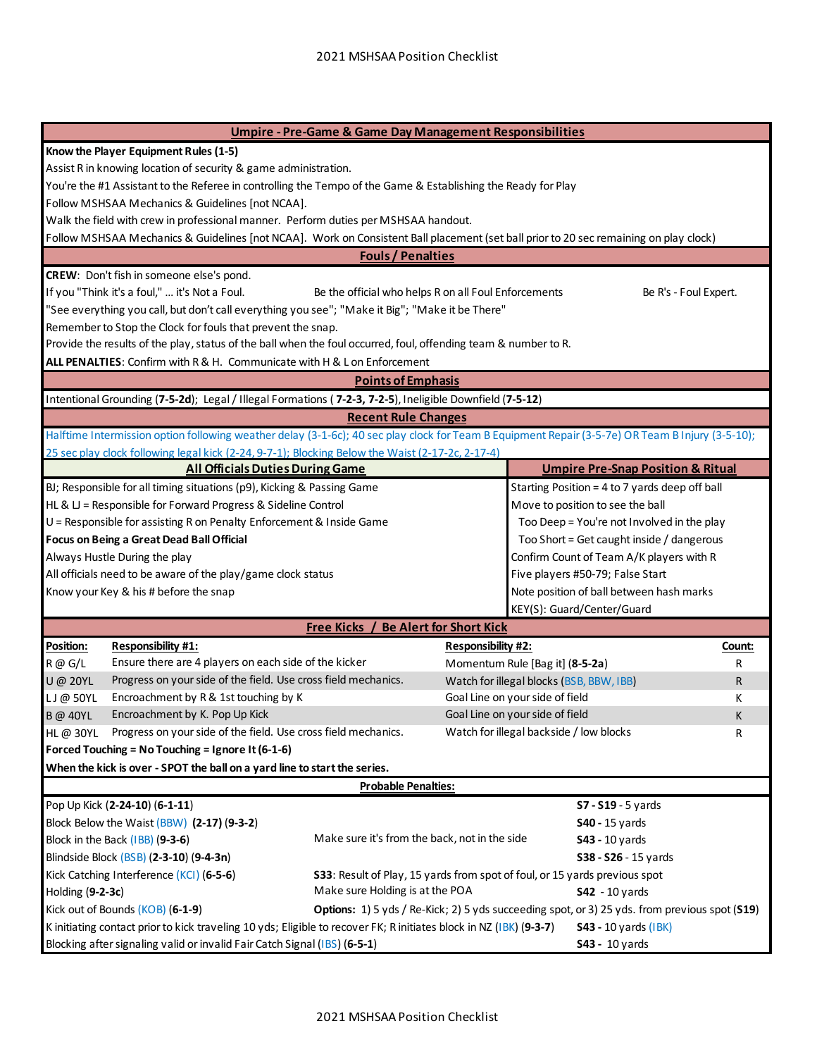| <b>Umpire - Pre-Game &amp; Game Day Management Responsibilities</b>                                                            |                                                                                                                                                   |                                                      |                                |                                                |                                            |  |
|--------------------------------------------------------------------------------------------------------------------------------|---------------------------------------------------------------------------------------------------------------------------------------------------|------------------------------------------------------|--------------------------------|------------------------------------------------|--------------------------------------------|--|
|                                                                                                                                | Know the Player Equipment Rules (1-5)                                                                                                             |                                                      |                                |                                                |                                            |  |
|                                                                                                                                | Assist R in knowing location of security & game administration.                                                                                   |                                                      |                                |                                                |                                            |  |
|                                                                                                                                | You're the #1 Assistant to the Referee in controlling the Tempo of the Game & Establishing the Ready for Play                                     |                                                      |                                |                                                |                                            |  |
|                                                                                                                                | Follow MSHSAA Mechanics & Guidelines [not NCAA].                                                                                                  |                                                      |                                |                                                |                                            |  |
|                                                                                                                                | Walk the field with crew in professional manner. Perform duties per MSHSAA handout.                                                               |                                                      |                                |                                                |                                            |  |
|                                                                                                                                | Follow MSHSAA Mechanics & Guidelines [not NCAA]. Work on Consistent Ball placement (set ball prior to 20 sec remaining on play clock)             |                                                      |                                |                                                |                                            |  |
|                                                                                                                                |                                                                                                                                                   | <b>Fouls / Penalties</b>                             |                                |                                                |                                            |  |
|                                                                                                                                | <b>CREW:</b> Don't fish in someone else's pond.                                                                                                   |                                                      |                                |                                                |                                            |  |
|                                                                                                                                | If you "Think it's a foul,"  it's Not a Foul.                                                                                                     | Be the official who helps R on all Foul Enforcements |                                |                                                | Be R's - Foul Expert.                      |  |
|                                                                                                                                | "See everything you call, but don't call everything you see"; "Make it Big"; "Make it be There"                                                   |                                                      |                                |                                                |                                            |  |
|                                                                                                                                | Remember to Stop the Clock for fouls that prevent the snap.                                                                                       |                                                      |                                |                                                |                                            |  |
|                                                                                                                                | Provide the results of the play, status of the ball when the foul occurred, foul, offending team & number to R.                                   |                                                      |                                |                                                |                                            |  |
|                                                                                                                                | ALL PENALTIES: Confirm with R & H. Communicate with H & L on Enforcement                                                                          |                                                      |                                |                                                |                                            |  |
|                                                                                                                                |                                                                                                                                                   | <b>Points of Emphasis</b>                            |                                |                                                |                                            |  |
|                                                                                                                                | Intentional Grounding (7-5-2d); Legal / Illegal Formations (7-2-3, 7-2-5), Ineligible Downfield (7-5-12)                                          |                                                      |                                |                                                |                                            |  |
|                                                                                                                                |                                                                                                                                                   | <b>Recent Rule Changes</b>                           |                                |                                                |                                            |  |
|                                                                                                                                | Halftime Intermission option following weather delay (3-1-6c); 40 sec play clock for Team B Equipment Repair (3-5-7e) OR Team B Injury (3-5-10);  |                                                      |                                |                                                |                                            |  |
|                                                                                                                                | 25 sec play clock following legal kick (2-24, 9-7-1); Blocking Below the Waist (2-17-2c, 2-17-4)                                                  |                                                      |                                |                                                |                                            |  |
|                                                                                                                                | <b>All Officials Duties During Game</b>                                                                                                           |                                                      |                                | <b>Umpire Pre-Snap Position &amp; Ritual</b>   |                                            |  |
|                                                                                                                                | BJ; Responsible for all timing situations (p9), Kicking & Passing Game                                                                            |                                                      |                                | Starting Position = 4 to 7 yards deep off ball |                                            |  |
|                                                                                                                                | HL & LJ = Responsible for Forward Progress & Sideline Control                                                                                     |                                                      |                                | Move to position to see the ball               |                                            |  |
|                                                                                                                                | U = Responsible for assisting R on Penalty Enforcement & Inside Game                                                                              |                                                      |                                |                                                | Too Deep = You're not Involved in the play |  |
|                                                                                                                                | Focus on Being a Great Dead Ball Official                                                                                                         |                                                      |                                | Too Short = Get caught inside / dangerous      |                                            |  |
|                                                                                                                                | Always Hustle During the play                                                                                                                     |                                                      |                                | Confirm Count of Team A/K players with R       |                                            |  |
|                                                                                                                                | All officials need to be aware of the play/game clock status                                                                                      |                                                      |                                | Five players #50-79; False Start               |                                            |  |
|                                                                                                                                | Know your Key & his # before the snap                                                                                                             |                                                      |                                | Note position of ball between hash marks       |                                            |  |
|                                                                                                                                |                                                                                                                                                   |                                                      |                                | KEY(S): Guard/Center/Guard                     |                                            |  |
|                                                                                                                                |                                                                                                                                                   | Free Kicks /                                         | <b>Be Alert for Short Kick</b> |                                                |                                            |  |
| <b>Position:</b>                                                                                                               | <b>Responsibility #1:</b>                                                                                                                         |                                                      | <b>Responsibility #2:</b>      |                                                | Count:                                     |  |
| $R \varnothing G/L$                                                                                                            | Ensure there are 4 players on each side of the kicker                                                                                             |                                                      |                                | Momentum Rule [Bag it] (8-5-2a)                | R                                          |  |
| <b>U</b> @ 20YL                                                                                                                | Progress on your side of the field. Use cross field mechanics.                                                                                    |                                                      |                                | Watch for illegal blocks (BSB, BBW, IBB)       | R.                                         |  |
| $LJ@$ 50YL                                                                                                                     | Encroachment by R & 1st touching by K                                                                                                             |                                                      |                                | Goal Line on your side of field                | Κ                                          |  |
| <b>B</b> @ 40YL                                                                                                                | Encroachment by K. Pop Up Kick                                                                                                                    |                                                      |                                | Goal Line on your side of field                | κ                                          |  |
|                                                                                                                                | HL @ 30YL Progress on your side of the field. Use cross field mechanics.                                                                          |                                                      |                                | Watch for illegal backside / low blocks        | R                                          |  |
|                                                                                                                                | Forced Touching = No Touching = Ignore It (6-1-6)                                                                                                 |                                                      |                                |                                                |                                            |  |
| When the kick is over - SPOT the ball on a yard line to start the series.                                                      |                                                                                                                                                   |                                                      |                                |                                                |                                            |  |
| <b>Probable Penalties:</b>                                                                                                     |                                                                                                                                                   |                                                      |                                |                                                |                                            |  |
|                                                                                                                                | Pop Up Kick (2-24-10) (6-1-11)<br>S7 - S19 - 5 yards                                                                                              |                                                      |                                |                                                |                                            |  |
| Block Below the Waist (BBW) (2-17) (9-3-2)                                                                                     |                                                                                                                                                   |                                                      | <b>S40</b> - 15 yards          |                                                |                                            |  |
| Make sure it's from the back, not in the side<br>Block in the Back (IBB) (9-3-6)                                               |                                                                                                                                                   | <b>S43 - 10 yards</b>                                |                                |                                                |                                            |  |
| Blindside Block (BSB) (2-3-10) (9-4-3n)                                                                                        |                                                                                                                                                   |                                                      | S38 - S26 - 15 yards           |                                                |                                            |  |
| Kick Catching Interference (KCI) (6-5-6)<br><b>S33</b> : Result of Play, 15 yards from spot of foul, or 15 yards previous spot |                                                                                                                                                   |                                                      |                                |                                                |                                            |  |
| Make sure Holding is at the POA<br>Holding (9-2-3c)<br>$S42 - 10$ vards                                                        |                                                                                                                                                   |                                                      |                                |                                                |                                            |  |
|                                                                                                                                | Kick out of Bounds (KOB) (6-1-9)<br>Options: 1) 5 yds / Re-Kick; 2) 5 yds succeeding spot, or 3) 25 yds. from previous spot (S19)                 |                                                      |                                |                                                |                                            |  |
|                                                                                                                                | K initiating contact prior to kick traveling 10 yds; Eligible to recover FK; R initiates block in NZ (IBK) (9-3-7)<br><b>S43 - 10 yards (IBK)</b> |                                                      |                                |                                                |                                            |  |
|                                                                                                                                | Blocking after signaling valid or invalid Fair Catch Signal (IBS) (6-5-1)<br><b>S43</b> - 10 yards                                                |                                                      |                                |                                                |                                            |  |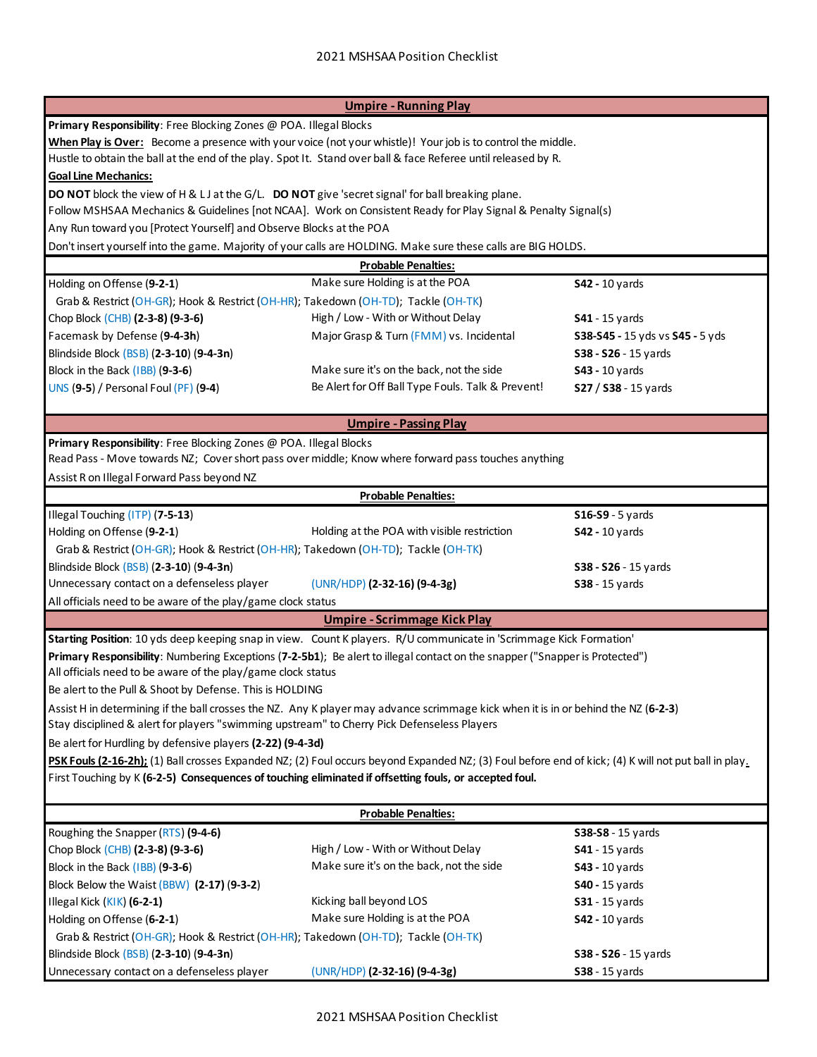|                                                                                                                                                      | <b>Umpire - Running Play</b>                                                                                   |                                 |  |  |
|------------------------------------------------------------------------------------------------------------------------------------------------------|----------------------------------------------------------------------------------------------------------------|---------------------------------|--|--|
| Primary Responsibility: Free Blocking Zones @ POA. Illegal Blocks                                                                                    |                                                                                                                |                                 |  |  |
|                                                                                                                                                      | When Play is Over: Become a presence with your voice (not your whistle)! Your job is to control the middle.    |                                 |  |  |
|                                                                                                                                                      | Hustle to obtain the ball at the end of the play. Spot It. Stand over ball & face Referee until released by R. |                                 |  |  |
| <b>Goal Line Mechanics:</b>                                                                                                                          |                                                                                                                |                                 |  |  |
| DO NOT block the view of H & L J at the G/L. DO NOT give 'secret signal' for ball breaking plane.                                                    |                                                                                                                |                                 |  |  |
| Follow MSHSAA Mechanics & Guidelines [not NCAA]. Work on Consistent Ready for Play Signal & Penalty Signal(s)                                        |                                                                                                                |                                 |  |  |
| Any Run toward you [Protect Yourself] and Observe Blocks at the POA                                                                                  |                                                                                                                |                                 |  |  |
| Don't insert yourself into the game. Majority of your calls are HOLDING. Make sure these calls are BIG HOLDS.                                        |                                                                                                                |                                 |  |  |
|                                                                                                                                                      | <b>Probable Penalties:</b>                                                                                     |                                 |  |  |
| Holding on Offense (9-2-1)                                                                                                                           | Make sure Holding is at the POA                                                                                | <b>S42 - 10 yards</b>           |  |  |
| Grab & Restrict (OH-GR); Hook & Restrict (OH-HR); Takedown (OH-TD); Tackle (OH-TK)                                                                   |                                                                                                                |                                 |  |  |
| Chop Block (CHB) (2-3-8) (9-3-6)                                                                                                                     | High / Low - With or Without Delay                                                                             | <b>S41</b> - 15 yards           |  |  |
| Facemask by Defense (9-4-3h)                                                                                                                         | Major Grasp & Turn (FMM) vs. Incidental                                                                        | S38-S45 - 15 yds vs S45 - 5 yds |  |  |
| Blindside Block (BSB) (2-3-10) (9-4-3n)                                                                                                              |                                                                                                                | S38 - S26 - 15 yards            |  |  |
| Block in the Back (IBB) (9-3-6)                                                                                                                      | Make sure it's on the back, not the side                                                                       | <b>S43</b> - 10 yards           |  |  |
|                                                                                                                                                      | Be Alert for Off Ball Type Fouls. Talk & Prevent!                                                              |                                 |  |  |
| <b>UNS (9-5) / Personal Foul (PF) (9-4)</b>                                                                                                          |                                                                                                                | S27 / S38 - 15 yards            |  |  |
|                                                                                                                                                      | <b>Umpire - Passing Play</b>                                                                                   |                                 |  |  |
| Primary Responsibility: Free Blocking Zones @ POA. Illegal Blocks                                                                                    |                                                                                                                |                                 |  |  |
|                                                                                                                                                      | Read Pass - Move towards NZ; Cover short pass over middle; Know where forward pass touches anything            |                                 |  |  |
| Assist R on Illegal Forward Pass beyond NZ                                                                                                           |                                                                                                                |                                 |  |  |
|                                                                                                                                                      | <b>Probable Penalties:</b>                                                                                     |                                 |  |  |
| Illegal Touching (ITP) (7-5-13)                                                                                                                      |                                                                                                                | $$16-$9 - 5 \text{ yards}$      |  |  |
| Holding on Offense (9-2-1)                                                                                                                           | Holding at the POA with visible restriction                                                                    | <b>S42 - 10 yards</b>           |  |  |
| Grab & Restrict (OH-GR); Hook & Restrict (OH-HR); Takedown (OH-TD); Tackle (OH-TK)                                                                   |                                                                                                                |                                 |  |  |
| Blindside Block (BSB) (2-3-10) (9-4-3n)                                                                                                              |                                                                                                                | S38 - S26 - 15 yards            |  |  |
| Unnecessary contact on a defenseless player                                                                                                          | (UNR/HDP) (2-32-16) (9-4-3g)                                                                                   | <b>S38</b> - 15 yards           |  |  |
| All officials need to be aware of the play/game clock status                                                                                         |                                                                                                                |                                 |  |  |
|                                                                                                                                                      | <b>Umpire - Scrimmage Kick Play</b>                                                                            |                                 |  |  |
| Starting Position: 10 yds deep keeping snap in view. Count K players. R/U communicate in 'Scrimmage Kick Formation'                                  |                                                                                                                |                                 |  |  |
| Primary Responsibility: Numbering Exceptions (7-2-5b1); Be alert to illegal contact on the snapper ("Snapper is Protected")                          |                                                                                                                |                                 |  |  |
| All officials need to be aware of the play/game clock status                                                                                         |                                                                                                                |                                 |  |  |
| Be alert to the Pull & Shoot by Defense. This is HOLDING                                                                                             |                                                                                                                |                                 |  |  |
| Assist H in determining if the ball crosses the NZ. Any K player may advance scrimmage kick when it is in or behind the NZ (6-2-3)                   |                                                                                                                |                                 |  |  |
| Stay disciplined & alert for players "swimming upstream" to Cherry Pick Defenseless Players                                                          |                                                                                                                |                                 |  |  |
| Be alert for Hurdling by defensive players (2-22) (9-4-3d)                                                                                           |                                                                                                                |                                 |  |  |
| PSK Fouls (2-16-2h); (1) Ball crosses Expanded NZ; (2) Foul occurs beyond Expanded NZ; (3) Foul before end of kick; (4) K will not put ball in play. |                                                                                                                |                                 |  |  |
| First Touching by K (6-2-5) Consequences of touching eliminated if offsetting fouls, or accepted foul.                                               |                                                                                                                |                                 |  |  |
|                                                                                                                                                      |                                                                                                                |                                 |  |  |
|                                                                                                                                                      | <b>Probable Penalties:</b>                                                                                     |                                 |  |  |
| Roughing the Snapper (RTS) (9-4-6)                                                                                                                   |                                                                                                                | S38-S8 - 15 yards               |  |  |
| Chop Block (CHB) (2-3-8) (9-3-6)                                                                                                                     | High / Low - With or Without Delay                                                                             | <b>S41</b> - 15 yards           |  |  |
| Block in the Back (IBB) (9-3-6)                                                                                                                      | Make sure it's on the back, not the side                                                                       | \$43 - 10 yards                 |  |  |
| Block Below the Waist (BBW) (2-17) (9-3-2)                                                                                                           |                                                                                                                | <b>S40 - 15 yards</b>           |  |  |
| Illegal Kick (KIK) (6-2-1)                                                                                                                           | Kicking ball beyond LOS                                                                                        | <b>S31</b> - 15 yards           |  |  |
| Holding on Offense (6-2-1)                                                                                                                           | Make sure Holding is at the POA                                                                                | \$42 - 10 yards                 |  |  |
| Grab & Restrict (OH-GR); Hook & Restrict (OH-HR); Takedown (OH-TD); Tackle (OH-TK)                                                                   |                                                                                                                |                                 |  |  |
| Blindside Block (BSB) (2-3-10) (9-4-3n)<br>S38 - S26 - 15 yards                                                                                      |                                                                                                                |                                 |  |  |
| Unnecessary contact on a defenseless player                                                                                                          | (UNR/HDP) (2-32-16) (9-4-3g)                                                                                   | <b>S38</b> - 15 yards           |  |  |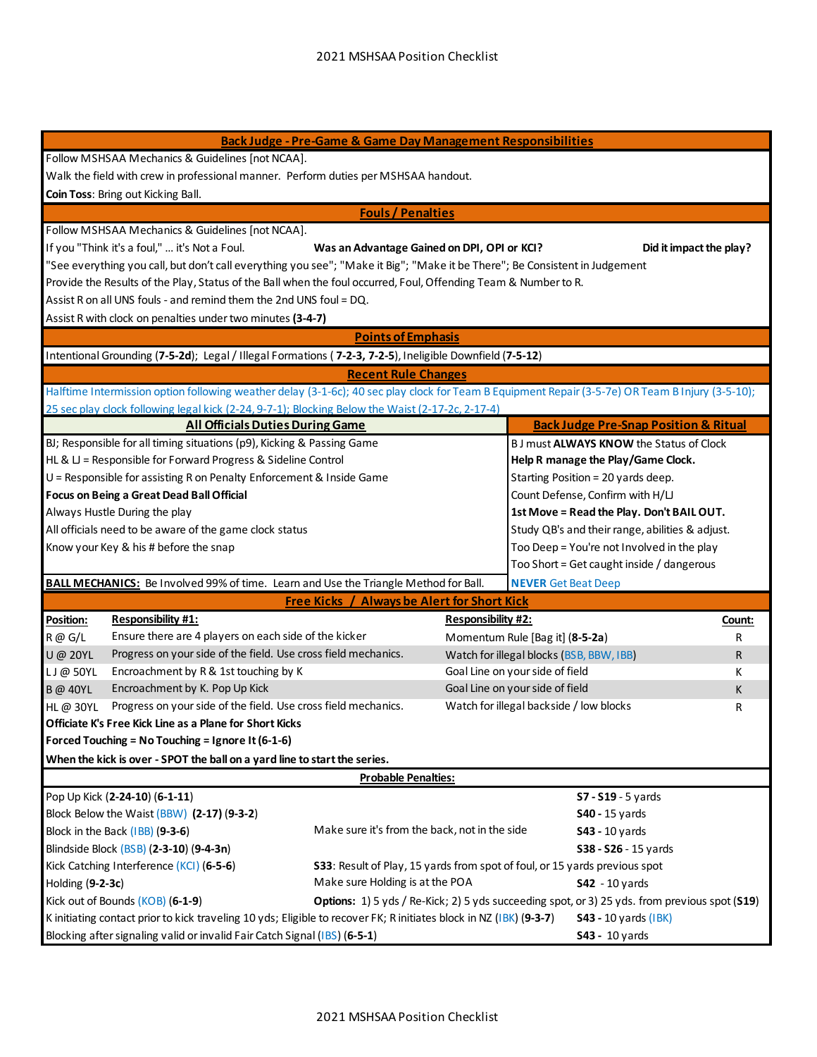| <b>Back Judge - Pre-Game &amp; Game Day Management Responsibilities</b>                                                |                                                                                                                                                                                                                                                         |                                                    |                                           |                                                                                                                                                  |        |  |
|------------------------------------------------------------------------------------------------------------------------|---------------------------------------------------------------------------------------------------------------------------------------------------------------------------------------------------------------------------------------------------------|----------------------------------------------------|-------------------------------------------|--------------------------------------------------------------------------------------------------------------------------------------------------|--------|--|
| Follow MSHSAA Mechanics & Guidelines [not NCAA].                                                                       |                                                                                                                                                                                                                                                         |                                                    |                                           |                                                                                                                                                  |        |  |
|                                                                                                                        | Walk the field with crew in professional manner. Perform duties per MSHSAA handout.                                                                                                                                                                     |                                                    |                                           |                                                                                                                                                  |        |  |
|                                                                                                                        | Coin Toss: Bring out Kicking Ball.                                                                                                                                                                                                                      |                                                    |                                           |                                                                                                                                                  |        |  |
|                                                                                                                        |                                                                                                                                                                                                                                                         | <b>Fouls / Penalties</b>                           |                                           |                                                                                                                                                  |        |  |
|                                                                                                                        | Follow MSHSAA Mechanics & Guidelines [not NCAA].                                                                                                                                                                                                        |                                                    |                                           |                                                                                                                                                  |        |  |
|                                                                                                                        | If you "Think it's a foul,"  it's Not a Foul.                                                                                                                                                                                                           | Was an Advantage Gained on DPI, OPI or KCI?        |                                           | Did it impact the play?                                                                                                                          |        |  |
|                                                                                                                        | "See everything you call, but don't call everything you see"; "Make it Big"; "Make it be There"; Be Consistent in Judgement                                                                                                                             |                                                    |                                           |                                                                                                                                                  |        |  |
|                                                                                                                        | Provide the Results of the Play, Status of the Ball when the foul occurred, Foul, Offending Team & Number to R.                                                                                                                                         |                                                    |                                           |                                                                                                                                                  |        |  |
|                                                                                                                        | Assist R on all UNS fouls - and remind them the 2nd UNS foul = DQ.                                                                                                                                                                                      |                                                    |                                           |                                                                                                                                                  |        |  |
|                                                                                                                        | Assist R with clock on penalties under two minutes (3-4-7)                                                                                                                                                                                              |                                                    |                                           |                                                                                                                                                  |        |  |
|                                                                                                                        |                                                                                                                                                                                                                                                         | <b>Points of Emphasis</b>                          |                                           |                                                                                                                                                  |        |  |
|                                                                                                                        | Intentional Grounding (7-5-2d); Legal / Illegal Formations (7-2-3, 7-2-5), Ineligible Downfield (7-5-12)                                                                                                                                                |                                                    |                                           |                                                                                                                                                  |        |  |
|                                                                                                                        |                                                                                                                                                                                                                                                         |                                                    |                                           |                                                                                                                                                  |        |  |
|                                                                                                                        |                                                                                                                                                                                                                                                         | <b>Recent Rule Changes</b>                         |                                           | Halftime Intermission option following weather delay (3-1-6c); 40 sec play clock for Team B Equipment Repair (3-5-7e) OR Team B Injury (3-5-10); |        |  |
|                                                                                                                        | 25 sec play clock following legal kick (2-24, 9-7-1); Blocking Below the Waist (2-17-2c, 2-17-4)                                                                                                                                                        |                                                    |                                           |                                                                                                                                                  |        |  |
|                                                                                                                        | <b>All Officials Duties During Game</b>                                                                                                                                                                                                                 |                                                    |                                           | <b>Back Judge Pre-Snap Position &amp; Ritual</b>                                                                                                 |        |  |
|                                                                                                                        | BJ; Responsible for all timing situations (p9), Kicking & Passing Game                                                                                                                                                                                  |                                                    |                                           |                                                                                                                                                  |        |  |
|                                                                                                                        | HL & LJ = Responsible for Forward Progress & Sideline Control                                                                                                                                                                                           |                                                    |                                           | BJ must ALWAYS KNOW the Status of Clock                                                                                                          |        |  |
|                                                                                                                        | U = Responsible for assisting R on Penalty Enforcement & Inside Game                                                                                                                                                                                    |                                                    |                                           | Help R manage the Play/Game Clock.<br>Starting Position = 20 yards deep.                                                                         |        |  |
|                                                                                                                        | Focus on Being a Great Dead Ball Official                                                                                                                                                                                                               |                                                    |                                           | Count Defense, Confirm with H/LJ                                                                                                                 |        |  |
|                                                                                                                        | Always Hustle During the play                                                                                                                                                                                                                           |                                                    |                                           | 1st Move = Read the Play. Don't BAIL OUT.                                                                                                        |        |  |
|                                                                                                                        | All officials need to be aware of the game clock status                                                                                                                                                                                                 |                                                    |                                           | Study QB's and their range, abilities & adjust.                                                                                                  |        |  |
|                                                                                                                        |                                                                                                                                                                                                                                                         |                                                    |                                           | Too Deep = You're not Involved in the play                                                                                                       |        |  |
|                                                                                                                        | Know your Key & his # before the snap                                                                                                                                                                                                                   |                                                    | Too Short = Get caught inside / dangerous |                                                                                                                                                  |        |  |
|                                                                                                                        |                                                                                                                                                                                                                                                         |                                                    |                                           |                                                                                                                                                  |        |  |
|                                                                                                                        | <b>BALL MECHANICS:</b> Be Involved 99% of time. Learn and Use the Triangle Method for Ball.                                                                                                                                                             | <b>Free Kicks / Always be Alert for Short Kick</b> |                                           | <b>NEVER Get Beat Deep</b>                                                                                                                       |        |  |
|                                                                                                                        | <b>Responsibility #1:</b>                                                                                                                                                                                                                               |                                                    |                                           |                                                                                                                                                  |        |  |
| Position:                                                                                                              | Ensure there are 4 players on each side of the kicker                                                                                                                                                                                                   |                                                    | <b>Responsibility #2:</b>                 |                                                                                                                                                  | Count: |  |
| R @ G/L                                                                                                                | Progress on your side of the field. Use cross field mechanics.                                                                                                                                                                                          |                                                    |                                           | Momentum Rule [Bag it] (8-5-2a)                                                                                                                  | R      |  |
| <b>U</b> @ 20YL                                                                                                        | Encroachment by R & 1st touching by K                                                                                                                                                                                                                   |                                                    |                                           | Watch for illegal blocks (BSB, BBW, IBB)<br>Goal Line on your side of field                                                                      | R      |  |
| LJ@50YL                                                                                                                | Encroachment by K. Pop Up Kick                                                                                                                                                                                                                          |                                                    |                                           | Goal Line on your side of field                                                                                                                  | К      |  |
| <b>B</b> @ 40YL                                                                                                        | Progress on your side of the field. Use cross field mechanics.                                                                                                                                                                                          |                                                    |                                           |                                                                                                                                                  | К      |  |
| HL@ 30YL                                                                                                               | Officiate K's Free Kick Line as a Plane for Short Kicks                                                                                                                                                                                                 |                                                    |                                           | Watch for illegal backside / low blocks                                                                                                          | R      |  |
|                                                                                                                        | Forced Touching = No Touching = Ignore It (6-1-6)                                                                                                                                                                                                       |                                                    |                                           |                                                                                                                                                  |        |  |
|                                                                                                                        |                                                                                                                                                                                                                                                         |                                                    |                                           |                                                                                                                                                  |        |  |
| When the kick is over - SPOT the ball on a yard line to start the series.                                              |                                                                                                                                                                                                                                                         |                                                    |                                           |                                                                                                                                                  |        |  |
| <b>Probable Penalties:</b><br>Pop Up Kick (2-24-10) (6-1-11)                                                           |                                                                                                                                                                                                                                                         |                                                    |                                           |                                                                                                                                                  |        |  |
|                                                                                                                        |                                                                                                                                                                                                                                                         |                                                    |                                           | S7 - S19 - 5 yards                                                                                                                               |        |  |
| Block Below the Waist (BBW) (2-17) (9-3-2)                                                                             |                                                                                                                                                                                                                                                         |                                                    | <b>S40</b> - 15 yards                     |                                                                                                                                                  |        |  |
| Make sure it's from the back, not in the side<br>Block in the Back (IBB) (9-3-6)                                       |                                                                                                                                                                                                                                                         |                                                    | <b>S43</b> - 10 yards                     |                                                                                                                                                  |        |  |
| Blindside Block (BSB) (2-3-10) (9-4-3n)<br>S38 - S26 - 15 yards                                                        |                                                                                                                                                                                                                                                         |                                                    |                                           |                                                                                                                                                  |        |  |
| Kick Catching Interference (KCI) (6-5-6)<br>S33: Result of Play, 15 yards from spot of foul, or 15 yards previous spot |                                                                                                                                                                                                                                                         |                                                    |                                           |                                                                                                                                                  |        |  |
| Make sure Holding is at the POA<br>Holding (9-2-3c)<br><b>S42</b> - 10 yards                                           |                                                                                                                                                                                                                                                         |                                                    |                                           |                                                                                                                                                  |        |  |
|                                                                                                                        | Kick out of Bounds (KOB) (6-1-9)<br>Options: 1) 5 yds / Re-Kick; 2) 5 yds succeeding spot, or 3) 25 yds. from previous spot (S19)<br>K initiating contact prior to kick traveling 10 yds; Eligible to recover FK; R initiates block in NZ (IBK) (9-3-7) |                                                    |                                           |                                                                                                                                                  |        |  |
|                                                                                                                        |                                                                                                                                                                                                                                                         |                                                    |                                           | <b>S43 - 10 yards (IBK)</b>                                                                                                                      |        |  |
| Blocking after signaling valid or invalid Fair Catch Signal (IBS) (6-5-1)                                              |                                                                                                                                                                                                                                                         |                                                    |                                           | <b>S43</b> - 10 yards                                                                                                                            |        |  |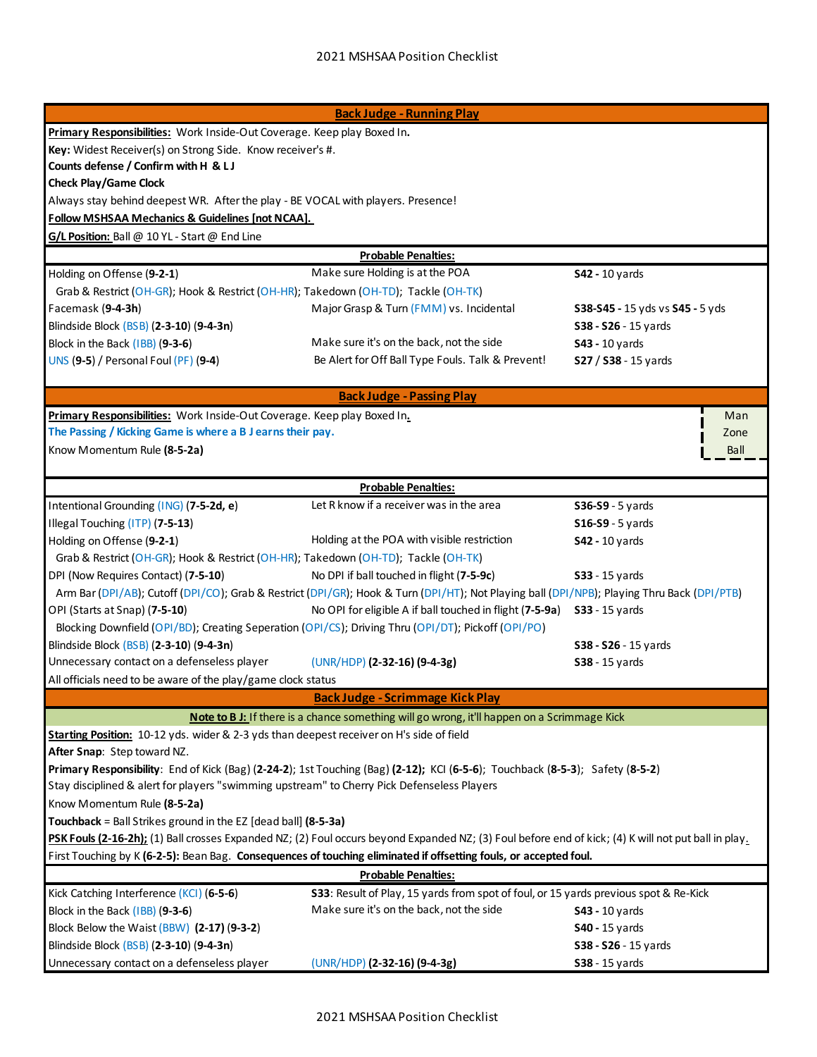| <b>Back Judge - Running Play</b>                                                                                                                                                                                             |                                                                                                                                            |                                 |  |  |
|------------------------------------------------------------------------------------------------------------------------------------------------------------------------------------------------------------------------------|--------------------------------------------------------------------------------------------------------------------------------------------|---------------------------------|--|--|
| Primary Responsibilities: Work Inside-Out Coverage. Keep play Boxed In.                                                                                                                                                      |                                                                                                                                            |                                 |  |  |
| Key: Widest Receiver(s) on Strong Side. Know receiver's #.                                                                                                                                                                   |                                                                                                                                            |                                 |  |  |
| Counts defense / Confirm with H & L J                                                                                                                                                                                        |                                                                                                                                            |                                 |  |  |
| <b>Check Play/Game Clock</b>                                                                                                                                                                                                 |                                                                                                                                            |                                 |  |  |
| Always stay behind deepest WR. After the play - BE VOCAL with players. Presence!                                                                                                                                             |                                                                                                                                            |                                 |  |  |
| <b>Follow MSHSAA Mechanics &amp; Guidelines [not NCAA].</b>                                                                                                                                                                  |                                                                                                                                            |                                 |  |  |
| G/L Position: Ball @ 10 YL - Start @ End Line                                                                                                                                                                                |                                                                                                                                            |                                 |  |  |
|                                                                                                                                                                                                                              | <b>Probable Penalties:</b>                                                                                                                 |                                 |  |  |
| Holding on Offense (9-2-1)                                                                                                                                                                                                   | Make sure Holding is at the POA                                                                                                            | <b>S42 - 10 yards</b>           |  |  |
| Grab & Restrict (OH-GR); Hook & Restrict (OH-HR); Takedown (OH-TD); Tackle (OH-TK)                                                                                                                                           |                                                                                                                                            |                                 |  |  |
| Facemask (9-4-3h)                                                                                                                                                                                                            | Major Grasp & Turn (FMM) vs. Incidental                                                                                                    | S38-S45 - 15 yds vs S45 - 5 yds |  |  |
| Blindside Block (BSB) (2-3-10) (9-4-3n)                                                                                                                                                                                      |                                                                                                                                            | S38 - S26 - 15 yards            |  |  |
| Block in the Back (IBB) (9-3-6)                                                                                                                                                                                              | Make sure it's on the back, not the side                                                                                                   | <b>S43</b> - 10 yards           |  |  |
| <b>UNS (9-5) / Personal Foul (PF) (9-4)</b>                                                                                                                                                                                  | Be Alert for Off Ball Type Fouls. Talk & Prevent!                                                                                          | S27 / S38 - 15 yards            |  |  |
|                                                                                                                                                                                                                              |                                                                                                                                            |                                 |  |  |
|                                                                                                                                                                                                                              | <b>Back Judge - Passing Play</b>                                                                                                           |                                 |  |  |
| Primary Responsibilities: Work Inside-Out Coverage. Keep play Boxed In.                                                                                                                                                      |                                                                                                                                            | Man                             |  |  |
| The Passing / Kicking Game is where a B J earns their pay.                                                                                                                                                                   |                                                                                                                                            | Zone                            |  |  |
| Know Momentum Rule (8-5-2a)                                                                                                                                                                                                  |                                                                                                                                            | Ball                            |  |  |
|                                                                                                                                                                                                                              |                                                                                                                                            |                                 |  |  |
|                                                                                                                                                                                                                              | <b>Probable Penalties:</b>                                                                                                                 |                                 |  |  |
| Intentional Grounding (ING) (7-5-2d, e)                                                                                                                                                                                      | Let R know if a receiver was in the area                                                                                                   | <b>S36-S9 - 5 yards</b>         |  |  |
| Illegal Touching (ITP) (7-5-13)                                                                                                                                                                                              |                                                                                                                                            | <b>S16-S9 - 5 yards</b>         |  |  |
| Holding on Offense (9-2-1)                                                                                                                                                                                                   | Holding at the POA with visible restriction                                                                                                | <b>S42 - 10 yards</b>           |  |  |
| Grab & Restrict (OH-GR); Hook & Restrict (OH-HR); Takedown (OH-TD); Tackle (OH-TK)                                                                                                                                           |                                                                                                                                            |                                 |  |  |
| DPI (Now Requires Contact) (7-5-10)                                                                                                                                                                                          | No DPI if ball touched in flight (7-5-9c)                                                                                                  | <b>S33</b> - 15 yards           |  |  |
|                                                                                                                                                                                                                              | Arm Bar (DPI/AB); Cutoff (DPI/CO); Grab & Restrict (DPI/GR); Hook & Turn (DPI/HT); Not Playing ball (DPI/NPB); Playing Thru Back (DPI/PTB) |                                 |  |  |
| OPI (Starts at Snap) (7-5-10)                                                                                                                                                                                                | No OPI for eligible A if ball touched in flight (7-5-9a)                                                                                   | <b>S33</b> - 15 yards           |  |  |
| Blocking Downfield (OPI/BD); Creating Seperation (OPI/CS); Driving Thru (OPI/DT); Pickoff (OPI/PO)                                                                                                                           |                                                                                                                                            |                                 |  |  |
| Blindside Block (BSB) (2-3-10) (9-4-3n)                                                                                                                                                                                      |                                                                                                                                            | S38 - S26 - 15 yards            |  |  |
| Unnecessary contact on a defenseless player                                                                                                                                                                                  | (UNR/HDP) (2-32-16) (9-4-3g)                                                                                                               | S38 - 15 yards                  |  |  |
| All officials need to be aware of the play/game clock status                                                                                                                                                                 |                                                                                                                                            |                                 |  |  |
|                                                                                                                                                                                                                              | <b>Back Judge - Scrimmage Kick Play</b>                                                                                                    |                                 |  |  |
|                                                                                                                                                                                                                              |                                                                                                                                            |                                 |  |  |
|                                                                                                                                                                                                                              | Note to B J: If there is a chance something will go wrong, it'll happen on a Scrimmage Kick                                                |                                 |  |  |
| Starting Position: 10-12 yds. wider & 2-3 yds than deepest receiver on H's side of field                                                                                                                                     |                                                                                                                                            |                                 |  |  |
| After Snap: Step toward NZ.                                                                                                                                                                                                  |                                                                                                                                            |                                 |  |  |
| Primary Responsibility: End of Kick (Bag) (2-24-2); 1st Touching (Bag) (2-12); KCI (6-5-6); Touchback (8-5-3); Safety (8-5-2)<br>Stay disciplined & alert for players "swimming upstream" to Cherry Pick Defenseless Players |                                                                                                                                            |                                 |  |  |
| Know Momentum Rule (8-5-2a)                                                                                                                                                                                                  |                                                                                                                                            |                                 |  |  |
| Touchback = Ball Strikes ground in the EZ [dead ball] (8-5-3a)                                                                                                                                                               |                                                                                                                                            |                                 |  |  |
| PSK Fouls (2-16-2h); (1) Ball crosses Expanded NZ; (2) Foul occurs beyond Expanded NZ; (3) Foul before end of kick; (4) K will not put ball in play.                                                                         |                                                                                                                                            |                                 |  |  |
| First Touching by K (6-2-5): Bean Bag. Consequences of touching eliminated if offsetting fouls, or accepted foul.                                                                                                            |                                                                                                                                            |                                 |  |  |
| <b>Probable Penalties:</b>                                                                                                                                                                                                   |                                                                                                                                            |                                 |  |  |
| Kick Catching Interference (KCI) (6-5-6)<br>S33: Result of Play, 15 yards from spot of foul, or 15 yards previous spot & Re-Kick                                                                                             |                                                                                                                                            |                                 |  |  |
| Block in the Back (IBB) (9-3-6)                                                                                                                                                                                              | Make sure it's on the back, not the side                                                                                                   | \$43 - 10 yards                 |  |  |
| Block Below the Waist (BBW) (2-17) (9-3-2)                                                                                                                                                                                   |                                                                                                                                            | <b>S40</b> - 15 yards           |  |  |
| Blindside Block (BSB) (2-3-10) (9-4-3n)                                                                                                                                                                                      |                                                                                                                                            | S38 - S26 - 15 yards            |  |  |
| Unnecessary contact on a defenseless player                                                                                                                                                                                  | (UNR/HDP) (2-32-16) (9-4-3g)                                                                                                               | <b>S38</b> - 15 yards           |  |  |
|                                                                                                                                                                                                                              |                                                                                                                                            |                                 |  |  |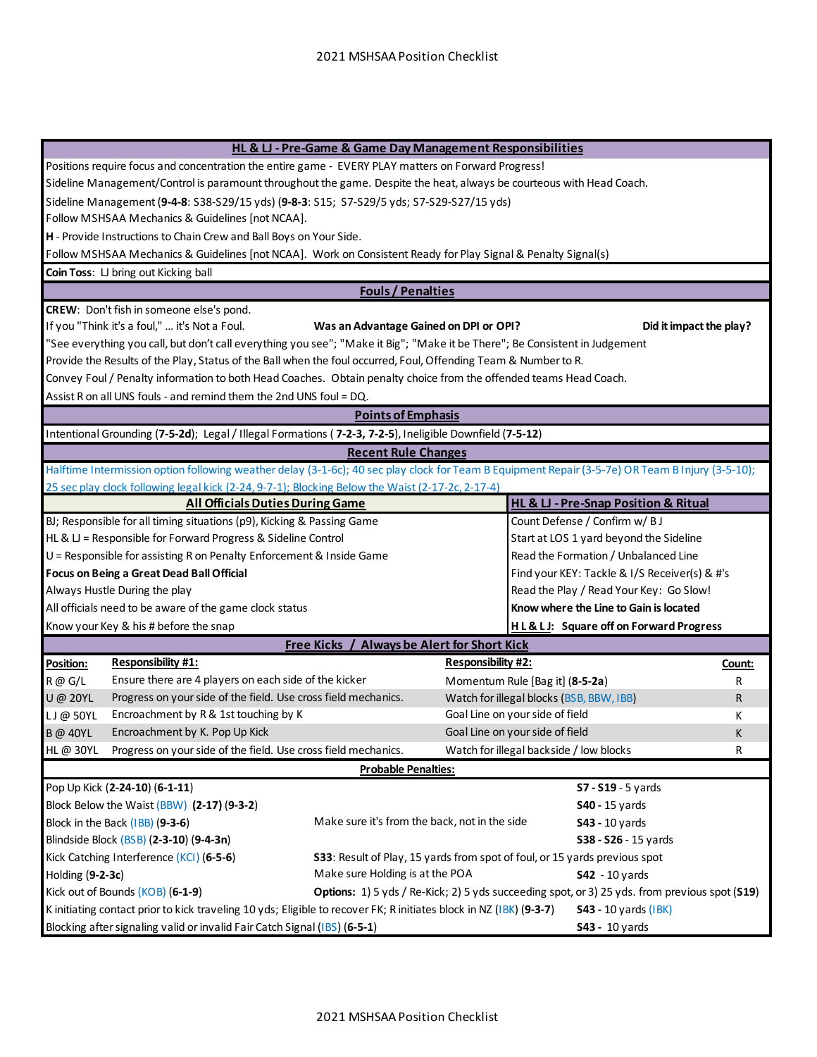| HL & LJ - Pre-Game & Game Day Management Responsibilities                                                 |                                                                                                                                                   |                           |                                                     |        |
|-----------------------------------------------------------------------------------------------------------|---------------------------------------------------------------------------------------------------------------------------------------------------|---------------------------|-----------------------------------------------------|--------|
|                                                                                                           | Positions require focus and concentration the entire game - EVERY PLAY matters on Forward Progress!                                               |                           |                                                     |        |
|                                                                                                           | Sideline Management/Control is paramount throughout the game. Despite the heat, always be courteous with Head Coach.                              |                           |                                                     |        |
|                                                                                                           | Sideline Management (9-4-8: S38-S29/15 yds) (9-8-3: S15; S7-S29/5 yds; S7-S29-S27/15 yds)                                                         |                           |                                                     |        |
|                                                                                                           | Follow MSHSAA Mechanics & Guidelines [not NCAA].                                                                                                  |                           |                                                     |        |
|                                                                                                           | H - Provide Instructions to Chain Crew and Ball Boys on Your Side.                                                                                |                           |                                                     |        |
|                                                                                                           | Follow MSHSAA Mechanics & Guidelines [not NCAA]. Work on Consistent Ready for Play Signal & Penalty Signal(s)                                     |                           |                                                     |        |
|                                                                                                           | Coin Toss: LJ bring out Kicking ball                                                                                                              |                           |                                                     |        |
|                                                                                                           | <b>Fouls / Penalties</b>                                                                                                                          |                           |                                                     |        |
|                                                                                                           | CREW: Don't fish in someone else's pond.                                                                                                          |                           |                                                     |        |
|                                                                                                           | If you "Think it's a foul,"  it's Not a Foul.<br>Was an Advantage Gained on DPI or OPI?                                                           |                           | Did it impact the play?                             |        |
|                                                                                                           | "See everything you call, but don't call everything you see"; "Make it Big"; "Make it be There"; Be Consistent in Judgement                       |                           |                                                     |        |
|                                                                                                           | Provide the Results of the Play, Status of the Ball when the foul occurred, Foul, Offending Team & Number to R.                                   |                           |                                                     |        |
|                                                                                                           | Convey Foul / Penalty information to both Head Coaches. Obtain penalty choice from the offended teams Head Coach.                                 |                           |                                                     |        |
|                                                                                                           | Assist R on all UNS fouls - and remind them the 2nd UNS foul = DQ.                                                                                |                           |                                                     |        |
|                                                                                                           | <b>Points of Emphasis</b>                                                                                                                         |                           |                                                     |        |
|                                                                                                           | Intentional Grounding (7-5-2d); Legal / Illegal Formations (7-2-3, 7-2-5), Ineligible Downfield (7-5-12)                                          |                           |                                                     |        |
|                                                                                                           | <b>Recent Rule Changes</b>                                                                                                                        |                           |                                                     |        |
|                                                                                                           | Halftime Intermission option following weather delay (3-1-6c); 40 sec play clock for Team B Equipment Repair (3-5-7e) OR Team B Injury (3-5-10);  |                           |                                                     |        |
|                                                                                                           | 25 sec play clock following legal kick (2-24, 9-7-1); Blocking Below the Waist (2-17-2c, 2-17-4)                                                  |                           |                                                     |        |
|                                                                                                           | <b>All Officials Duties During Game</b>                                                                                                           |                           | <b>HL &amp; LJ - Pre-Snap Position &amp; Ritual</b> |        |
|                                                                                                           | BJ; Responsible for all timing situations (p9), Kicking & Passing Game                                                                            |                           | Count Defense / Confirm w/ BJ                       |        |
|                                                                                                           | HL & $U$ = Responsible for Forward Progress & Sideline Control                                                                                    |                           | Start at LOS 1 yard beyond the Sideline             |        |
|                                                                                                           | U = Responsible for assisting R on Penalty Enforcement & Inside Game                                                                              |                           | Read the Formation / Unbalanced Line                |        |
| Focus on Being a Great Dead Ball Official                                                                 |                                                                                                                                                   |                           | Find your KEY: Tackle & I/S Receiver(s) & #'s       |        |
|                                                                                                           | Always Hustle During the play                                                                                                                     |                           | Read the Play / Read Your Key: Go Slow!             |        |
|                                                                                                           | All officials need to be aware of the game clock status                                                                                           |                           | Know where the Line to Gain is located              |        |
|                                                                                                           | Know your Key & his # before the snap                                                                                                             |                           | <b>HL&amp;LJ:</b> Square off on Forward Progress    |        |
|                                                                                                           | <b>Free Kicks / Always be Alert for Short Kick</b>                                                                                                |                           |                                                     |        |
| Position:                                                                                                 | <b>Responsibility #1:</b>                                                                                                                         | <b>Responsibility #2:</b> |                                                     | Count: |
| R @ G/L                                                                                                   | Ensure there are 4 players on each side of the kicker                                                                                             |                           | Momentum Rule [Bag it] (8-5-2a)                     | R      |
| <b>U</b> @ 20YL                                                                                           | Progress on your side of the field. Use cross field mechanics.                                                                                    |                           | Watch for illegal blocks (BSB, BBW, IBB)            | R      |
| LJ@50YL                                                                                                   | Encroachment by R & 1st touching by K                                                                                                             |                           | Goal Line on your side of field                     | К      |
| <b>B</b> @ 40YL                                                                                           | Encroachment by K. Pop Up Kick<br>Goal Line on your side of field                                                                                 |                           |                                                     |        |
| <b>HL@30YL</b>                                                                                            | Progress on your side of the field. Use cross field mechanics.                                                                                    |                           | Watch for illegal backside / low blocks             | R      |
|                                                                                                           | <b>Probable Penalties:</b>                                                                                                                        |                           |                                                     |        |
|                                                                                                           | Pop Up Kick (2-24-10) (6-1-11)                                                                                                                    |                           | <b>S7 - S19 - 5 yards</b>                           |        |
| Block Below the Waist (BBW) (2-17) (9-3-2)                                                                |                                                                                                                                                   |                           | <b>S40</b> - 15 yards                               |        |
| Make sure it's from the back, not in the side<br>Block in the Back (IBB) (9-3-6)<br><b>S43 - 10 yards</b> |                                                                                                                                                   |                           |                                                     |        |
| Blindside Block (BSB) (2-3-10) (9-4-3n)<br>S38 - S26 - 15 yards                                           |                                                                                                                                                   |                           |                                                     |        |
|                                                                                                           | Kick Catching Interference (KCI) (6-5-6)<br>S33: Result of Play, 15 yards from spot of foul, or 15 yards previous spot                            |                           |                                                     |        |
|                                                                                                           | Make sure Holding is at the POA<br>Holding (9-2-3c)<br><b>S42</b> - 10 yards                                                                      |                           |                                                     |        |
|                                                                                                           | Kick out of Bounds (KOB) (6-1-9)<br>Options: 1) 5 yds / Re-Kick; 2) 5 yds succeeding spot, or 3) 25 yds. from previous spot (S19)                 |                           |                                                     |        |
|                                                                                                           | K initiating contact prior to kick traveling 10 yds; Eligible to recover FK; R initiates block in NZ (IBK) (9-3-7)<br><b>S43 - 10 yards (IBK)</b> |                           |                                                     |        |
|                                                                                                           | Blocking after signaling valid or invalid Fair Catch Signal (IBS) (6-5-1)<br>\$43 - 10 yards                                                      |                           |                                                     |        |